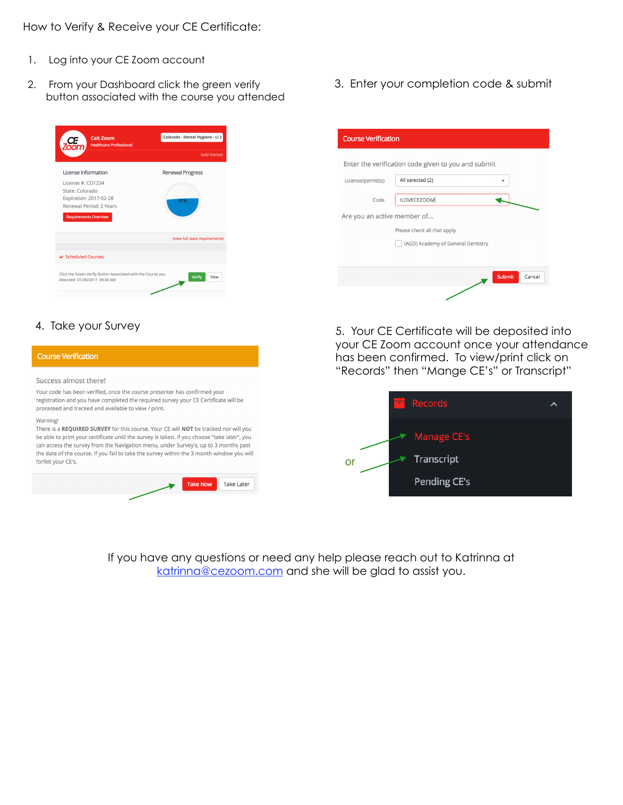How to Verify & Receive your CE Certificate:

- 1. Log into your CE Zoom account
- 2. From your Dashboard click the green verify button associated with the course you attended



3. Enter your completion code & submit

| <b>Course Verification</b>                          |                                    |
|-----------------------------------------------------|------------------------------------|
| Enter the verification code given to you and submit |                                    |
| License/permit(s)                                   | All selected (2)                   |
| Code                                                | ILOVECEZOOM                        |
| Are you an active member of                         |                                    |
|                                                     | Please check all that apply        |
|                                                     | (AGD) Academy of General Dentistry |
|                                                     |                                    |
|                                                     | Submit<br>Cancel                   |
|                                                     |                                    |

#### **Course Verification**

Success almost there!

Your code has been verified, once the course presenter has confirmed your registration and you have completed the required survey your CE Certificate will be processed and tracked and available to view / print.

#### Warning!

There is a REQUIRED SURVEY for this course. Your CE will NOT be tracked nor will you be able to print your certificate until the survey is taken. If you choose "take later", you can access the survey from the Navigation menu, under Survey's, up to 3 months past the date of the course. If you fail to take the survey within the 3 month window you will forfeit your CE's.



4. Take your Survey **6. All and Structure 1. Structure 1. Your CE Certificate will be deposited into** your CE Zoom account once your attendance has been confirmed. To view/print click on "Records" then "Mange CE's" or Transcript"



If you have any questions or need any help please reach out to Katrinna at [katrinna@cezoom.com](mailto:katrinna@cezoom.com) and she will be glad to assist you.